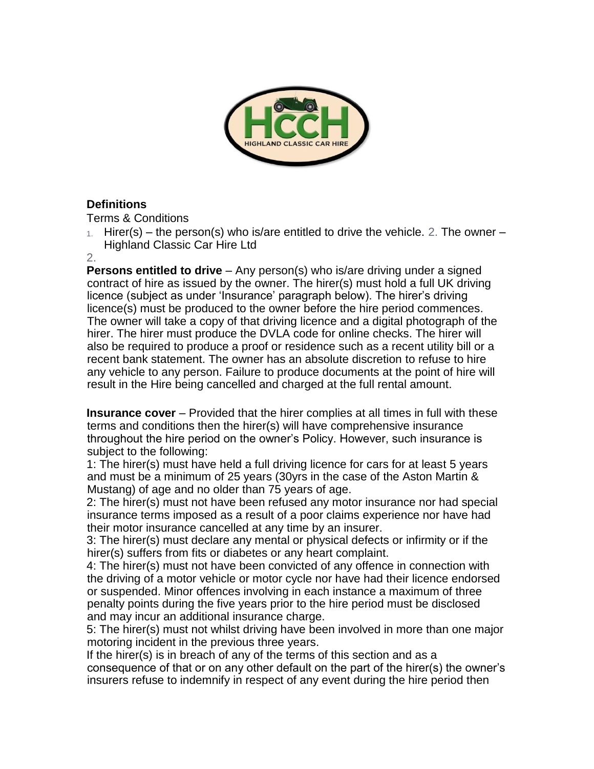

## **Definitions**

Terms & Conditions

1. Hirer(s) – the person(s) who is/are entitled to drive the vehicle. 2. The owner – Highland Classic Car Hire Ltd

2.

**Persons entitled to drive** – Any person(s) who is/are driving under a signed contract of hire as issued by the owner. The hirer(s) must hold a full UK driving licence (subject as under 'Insurance' paragraph below). The hirer's driving licence(s) must be produced to the owner before the hire period commences. The owner will take a copy of that driving licence and a digital photograph of the hirer. The hirer must produce the DVLA code for online checks. The hirer will also be required to produce a proof or residence such as a recent utility bill or a recent bank statement. The owner has an absolute discretion to refuse to hire any vehicle to any person. Failure to produce documents at the point of hire will result in the Hire being cancelled and charged at the full rental amount.

**Insurance cover** – Provided that the hirer complies at all times in full with these terms and conditions then the hirer(s) will have comprehensive insurance throughout the hire period on the owner's Policy. However, such insurance is subject to the following:

1: The hirer(s) must have held a full driving licence for cars for at least 5 years and must be a minimum of 25 years (30yrs in the case of the Aston Martin & Mustang) of age and no older than 75 years of age.

2: The hirer(s) must not have been refused any motor insurance nor had special insurance terms imposed as a result of a poor claims experience nor have had their motor insurance cancelled at any time by an insurer.

3: The hirer(s) must declare any mental or physical defects or infirmity or if the hirer(s) suffers from fits or diabetes or any heart complaint.

4: The hirer(s) must not have been convicted of any offence in connection with the driving of a motor vehicle or motor cycle nor have had their licence endorsed or suspended. Minor offences involving in each instance a maximum of three penalty points during the five years prior to the hire period must be disclosed and may incur an additional insurance charge.

5: The hirer(s) must not whilst driving have been involved in more than one major motoring incident in the previous three years.

If the hirer(s) is in breach of any of the terms of this section and as a consequence of that or on any other default on the part of the hirer(s) the owner's insurers refuse to indemnify in respect of any event during the hire period then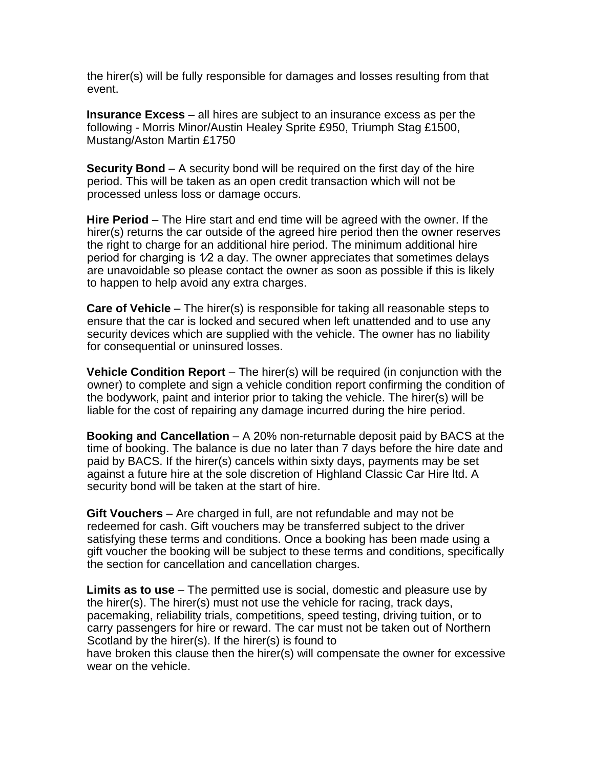the hirer(s) will be fully responsible for damages and losses resulting from that event.

**Insurance Excess** – all hires are subject to an insurance excess as per the following - Morris Minor/Austin Healey Sprite £950, Triumph Stag £1500, Mustang/Aston Martin £1750

**Security Bond** – A security bond will be required on the first day of the hire period. This will be taken as an open credit transaction which will not be processed unless loss or damage occurs.

**Hire Period** – The Hire start and end time will be agreed with the owner. If the hirer(s) returns the car outside of the agreed hire period then the owner reserves the right to charge for an additional hire period. The minimum additional hire period for charging is  $1/2$  a day. The owner appreciates that sometimes delays are unavoidable so please contact the owner as soon as possible if this is likely to happen to help avoid any extra charges.

**Care of Vehicle** – The hirer(s) is responsible for taking all reasonable steps to ensure that the car is locked and secured when left unattended and to use any security devices which are supplied with the vehicle. The owner has no liability for consequential or uninsured losses.

**Vehicle Condition Report** – The hirer(s) will be required (in conjunction with the owner) to complete and sign a vehicle condition report confirming the condition of the bodywork, paint and interior prior to taking the vehicle. The hirer(s) will be liable for the cost of repairing any damage incurred during the hire period.

**Booking and Cancellation** – A 20% non-returnable deposit paid by BACS at the time of booking. The balance is due no later than 7 days before the hire date and paid by BACS. If the hirer(s) cancels within sixty days, payments may be set against a future hire at the sole discretion of Highland Classic Car Hire ltd. A security bond will be taken at the start of hire.

**Gift Vouchers** – Are charged in full, are not refundable and may not be redeemed for cash. Gift vouchers may be transferred subject to the driver satisfying these terms and conditions. Once a booking has been made using a gift voucher the booking will be subject to these terms and conditions, specifically the section for cancellation and cancellation charges.

**Limits as to use** – The permitted use is social, domestic and pleasure use by the hirer(s). The hirer(s) must not use the vehicle for racing, track days, pacemaking, reliability trials, competitions, speed testing, driving tuition, or to carry passengers for hire or reward. The car must not be taken out of Northern Scotland by the hirer(s). If the hirer(s) is found to have broken this clause then the hirer(s) will compensate the owner for excessive wear on the vehicle.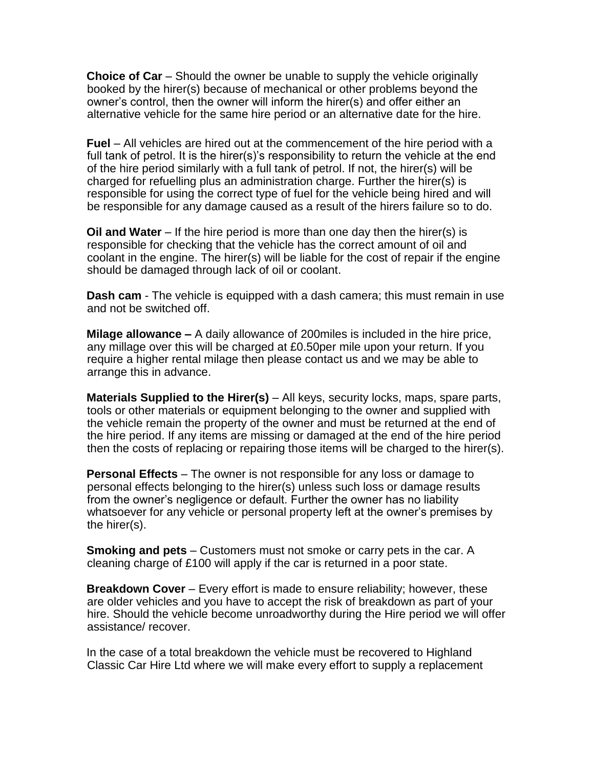**Choice of Car** – Should the owner be unable to supply the vehicle originally booked by the hirer(s) because of mechanical or other problems beyond the owner's control, then the owner will inform the hirer(s) and offer either an alternative vehicle for the same hire period or an alternative date for the hire.

**Fuel** – All vehicles are hired out at the commencement of the hire period with a full tank of petrol. It is the hirer(s)'s responsibility to return the vehicle at the end of the hire period similarly with a full tank of petrol. If not, the hirer(s) will be charged for refuelling plus an administration charge. Further the hirer(s) is responsible for using the correct type of fuel for the vehicle being hired and will be responsible for any damage caused as a result of the hirers failure so to do.

**Oil and Water** – If the hire period is more than one day then the hirer(s) is responsible for checking that the vehicle has the correct amount of oil and coolant in the engine. The hirer(s) will be liable for the cost of repair if the engine should be damaged through lack of oil or coolant.

**Dash cam** - The vehicle is equipped with a dash camera; this must remain in use and not be switched off.

**Milage allowance –** A daily allowance of 200miles is included in the hire price, any millage over this will be charged at £0.50per mile upon your return. If you require a higher rental milage then please contact us and we may be able to arrange this in advance.

**Materials Supplied to the Hirer(s)** – All keys, security locks, maps, spare parts, tools or other materials or equipment belonging to the owner and supplied with the vehicle remain the property of the owner and must be returned at the end of the hire period. If any items are missing or damaged at the end of the hire period then the costs of replacing or repairing those items will be charged to the hirer(s).

**Personal Effects** – The owner is not responsible for any loss or damage to personal effects belonging to the hirer(s) unless such loss or damage results from the owner's negligence or default. Further the owner has no liability whatsoever for any vehicle or personal property left at the owner's premises by the hirer(s).

**Smoking and pets** – Customers must not smoke or carry pets in the car. A cleaning charge of £100 will apply if the car is returned in a poor state.

**Breakdown Cover** – Every effort is made to ensure reliability; however, these are older vehicles and you have to accept the risk of breakdown as part of your hire. Should the vehicle become unroadworthy during the Hire period we will offer assistance/ recover.

In the case of a total breakdown the vehicle must be recovered to Highland Classic Car Hire Ltd where we will make every effort to supply a replacement